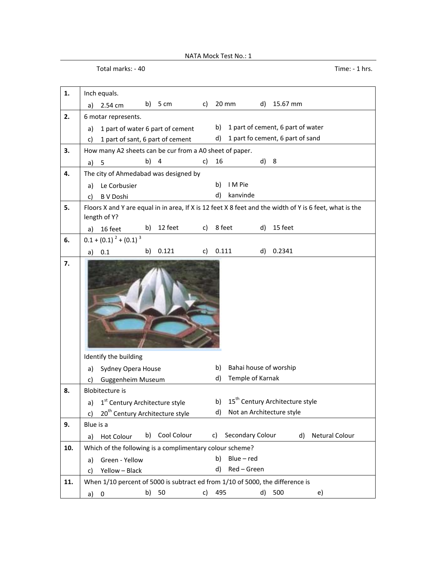NATA Mock Test No.: 1

Total marks: - 40 Time: - 1 hrs.

| 1.  | Inch equals.                                                                                                            |  |  |  |
|-----|-------------------------------------------------------------------------------------------------------------------------|--|--|--|
|     | 20 mm<br>b)<br>5 cm<br>d)<br>15.67 mm<br>c)<br>2.54 cm<br>a)                                                            |  |  |  |
| 2.  | 6 motar represents.                                                                                                     |  |  |  |
|     | 1 part of cement, 6 part of water<br>b)<br>1 part of water 6 part of cement<br>a)                                       |  |  |  |
|     | 1 part fo cement, 6 part of sand<br>d)<br>1 part of sant, 6 part of cement<br>C)                                        |  |  |  |
| 3.  | How many A2 sheets can be cur from a A0 sheet of paper.                                                                 |  |  |  |
|     | b) 4<br>16<br>d) 8<br>c)<br>5<br>a)                                                                                     |  |  |  |
| 4.  | The city of Ahmedabad was designed by                                                                                   |  |  |  |
|     | I M Pie<br>b)<br>Le Corbusier<br>a)                                                                                     |  |  |  |
|     | d)<br>kanvinde<br><b>B V Doshi</b><br>C)                                                                                |  |  |  |
| 5.  | Floors X and Y are equal in in area, If X is 12 feet X 8 feet and the width of Y is 6 feet, what is the<br>length of Y? |  |  |  |
|     | 12 feet<br>8 feet<br>15 feet<br>c)<br>d)<br>b)<br>16 feet<br>a)                                                         |  |  |  |
| 6.  | $0.1 + (0.1)^{2} + (0.1)^{3}$                                                                                           |  |  |  |
|     | 0.121<br>0.111<br>0.2341<br>b)<br>d)<br>c)<br>0.1<br>a)                                                                 |  |  |  |
| 7.  |                                                                                                                         |  |  |  |
|     | Identify the building                                                                                                   |  |  |  |
|     | Bahai house of worship<br>b)<br>Sydney Opera House<br>a)<br>Temple of Karnak<br>d)                                      |  |  |  |
| 8.  | <b>Guggenheim Museum</b><br>c)<br><b>Blobitecture is</b>                                                                |  |  |  |
|     | 15 <sup>th</sup> Century Architecture style<br>b)<br>1 <sup>st</sup> Century Architecture style<br>a)                   |  |  |  |
|     | Not an Architecture style<br>20 <sup>th</sup> Century Architecture style<br>d)<br>c)                                    |  |  |  |
| 9.  | Blue is a                                                                                                               |  |  |  |
|     | Cool Colour<br>Secondary Colour<br>Netural Colour<br>d)<br>b)<br>C)<br><b>Hot Colour</b><br>a)                          |  |  |  |
| 10. | Which of the following is a complimentary colour scheme?                                                                |  |  |  |
|     | Blue - red<br>b)<br>Green - Yellow<br>a)                                                                                |  |  |  |
|     | Red - Green<br>d)<br>Yellow - Black<br>c)                                                                               |  |  |  |
| 11. | When 1/10 percent of 5000 is subtract ed from 1/10 of 5000, the difference is                                           |  |  |  |
|     | 495<br>b)<br>50<br>d)<br>500<br>c)<br>e)<br>a)<br>$\overline{\mathbf{0}}$                                               |  |  |  |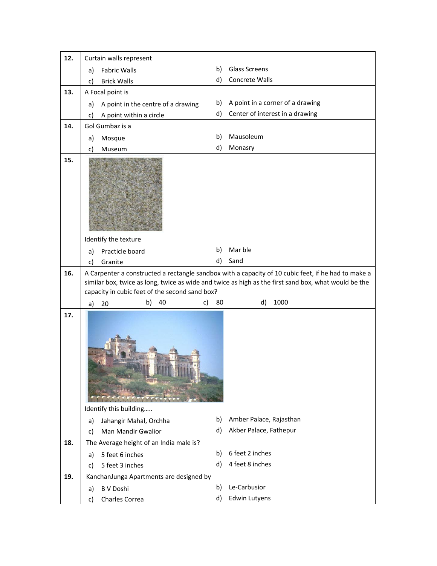| 12. | Curtain walls represent                                |    |                                                                                                                                                                                                             |
|-----|--------------------------------------------------------|----|-------------------------------------------------------------------------------------------------------------------------------------------------------------------------------------------------------------|
|     | <b>Fabric Walls</b><br>a)                              | b) | Glass Screens                                                                                                                                                                                               |
|     | <b>Brick Walls</b><br>c)                               | d) | Concrete Walls                                                                                                                                                                                              |
| 13. | A Focal point is                                       |    |                                                                                                                                                                                                             |
|     | A point in the centre of a drawing<br>a)               | b) | A point in a corner of a drawing                                                                                                                                                                            |
|     | A point within a circle<br>c)                          | d) | Center of interest in a drawing                                                                                                                                                                             |
| 14. | Gol Gumbaz is a                                        |    |                                                                                                                                                                                                             |
|     | Mosque<br>a)                                           | b) | Mausoleum                                                                                                                                                                                                   |
|     | Museum<br>c)                                           | d) | Monasry                                                                                                                                                                                                     |
| 15. | Identify the texture<br>Practicle board<br>a)          | b) | Mar ble                                                                                                                                                                                                     |
|     | Granite<br>c)                                          | d) | Sand                                                                                                                                                                                                        |
| 16. | capacity in cubic feet of the second sand box?         |    | A Carpenter a constructed a rectangle sandbox with a capacity of 10 cubic feet, if he had to make a<br>similar box, twice as long, twice as wide and twice as high as the first sand box, what would be the |
|     |                                                        |    |                                                                                                                                                                                                             |
|     | b)<br>40<br>c)<br>20<br>a)                             | 80 | 1000<br>d)                                                                                                                                                                                                  |
| 17. | Identify this building<br>Jahangir Mahal, Orchha<br>a) | b) | Amber Palace, Rajasthan                                                                                                                                                                                     |
|     | <b>Man Mandir Gwalior</b><br>C)                        | d) | Akber Palace, Fathepur                                                                                                                                                                                      |
| 18. | The Average height of an India male is?                |    |                                                                                                                                                                                                             |
|     | 5 feet 6 inches<br>a)                                  | b) | 6 feet 2 inches                                                                                                                                                                                             |
|     | 5 feet 3 inches<br>C)                                  | d) | 4 feet 8 inches                                                                                                                                                                                             |
| 19. | KanchanJunga Apartments are designed by                |    |                                                                                                                                                                                                             |
|     | <b>B V Doshi</b><br>a)                                 | b) | Le-Carbusior                                                                                                                                                                                                |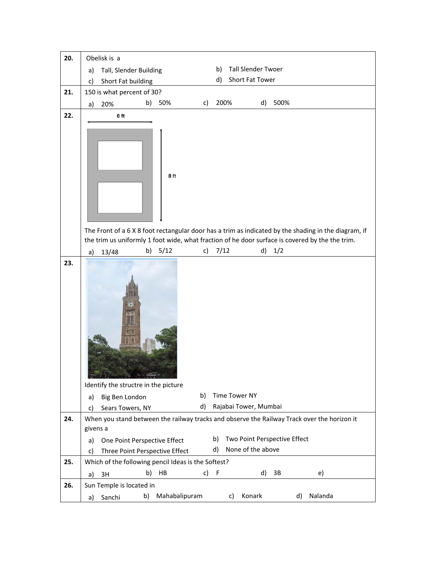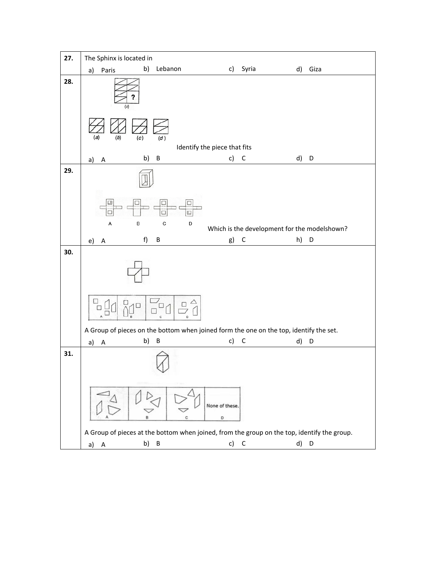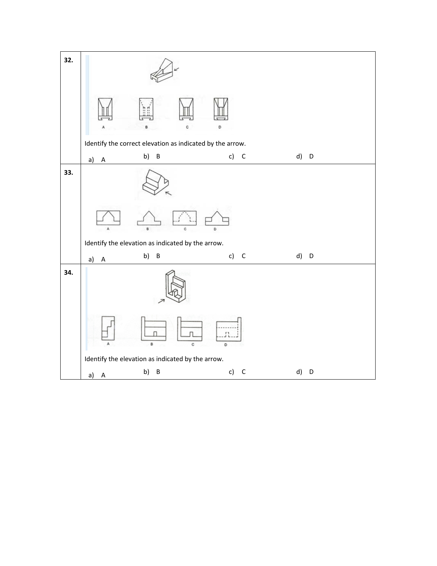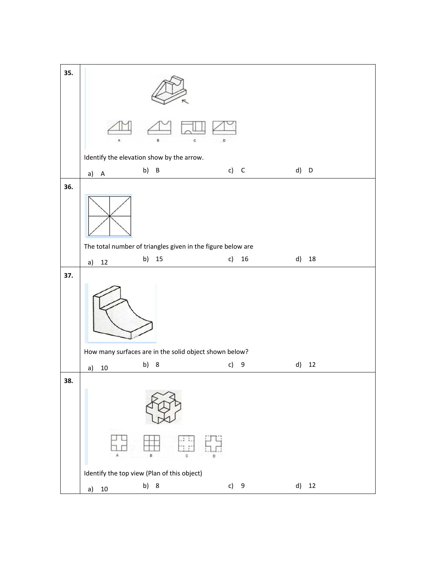